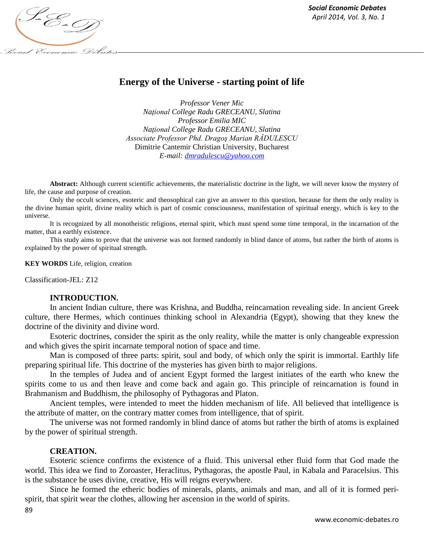

# **Energy of the Universe - starting point of life**

*Professor Vener Mic Naţional College Radu GRECEANU, Slatina Professor Emilia MIC Naţional College Radu GRECEANU, Slatina Associate Professor Phd. Dragoş Marian RĂDULESCU* Dimitrie Cantemir Christian University, Bucharest *E-mail[: dmradulescu@yahoo.com](mailto:dmradulescu@yahoo.com)*

**Abstract:** Although current scientific achievements, the materialistic doctrine in the light, we will never know the mystery of life, the cause and purpose of creation.

Only the occult sciences, esoteric and theosophical can give an answer to this question, because for them the only reality is the divine human spirit, divine reality which is part of cosmic consciousness, manifestation of spiritual energy, which is key to the universe.

It is recognized by all monotheistic religions, eternal spirit, which must spend some time temporal, in the incarnation of the matter, that a earthly existence.

This study aims to prove that the universe was not formed randomly in blind dance of atoms, but rather the birth of atoms is explained by the power of spiritual strength.

**KEY WORDS** Life, religion, creation

Classification-JEL: Z12

# **INTRODUCTION.**

In ancient Indian culture, there was Krishna, and Buddha, reincarnation revealing side. In ancient Greek culture, there Hermes, which continues thinking school in Alexandria (Egypt), showing that they knew the doctrine of the divinity and divine word.

Esoteric doctrines, consider the spirit as the only reality, while the matter is only changeable expression and which gives the spirit incarnate temporal notion of space and time.

Man is composed of three parts: spirit, soul and body, of which only the spirit is immortal. Earthly life preparing spiritual life. This doctrine of the mysteries has given birth to major religions.

In the temples of Judea and of ancient Egypt formed the largest initiates of the earth who knew the spirits come to us and then leave and come back and again go. This principle of reincarnation is found in Brahmanism and Buddhism, the philosophy of Pythagoras and Platon.

Ancient temples, were intended to meet the hidden mechanism of life. All believed that intelligence is the attribute of matter, on the contrary matter comes from intelligence, that of spirit.

The universe was not formed randomly in blind dance of atoms but rather the birth of atoms is explained by the power of spiritual strength.

# **CREATION.**

Esoteric science confirms the existence of a fluid. This universal ether fluid form that God made the world. This idea we find to Zoroaster, Heraclitus, Pythagoras, the apostle Paul, in Kabala and Paracelsius. This is the substance he uses divine, creative, His will reigns everywhere.

Since he formed the etheric bodies of minerals, plants, animals and man, and all of it is formed perispirit, that spirit wear the clothes, allowing her ascension in the world of spirits.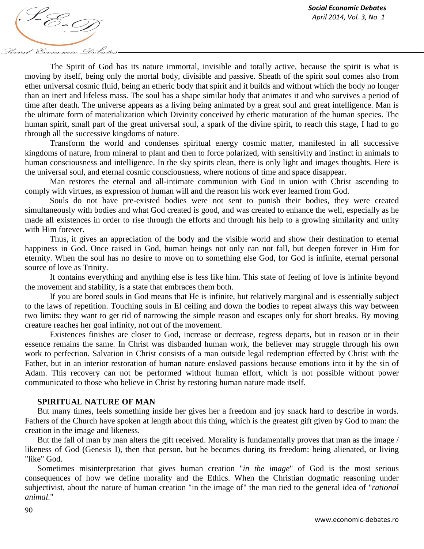*April 2014, Vol. 3, No. 1*<br>*April 2014, Vol. 3, No. 1* Social Economic Debates

The Spirit of God has its nature immortal, invisible and totally active, because the spirit is what is moving by itself, being only the mortal body, divisible and passive. Sheath of the spirit soul comes also from ether universal cosmic fluid, being an etheric body that spirit and it builds and without which the body no longer than an inert and lifeless mass. The soul has a shape similar body that animates it and who survives a period of time after death. The universe appears as a living being animated by a great soul and great intelligence. Man is the ultimate form of materialization which Divinity conceived by etheric maturation of the human species. The human spirit, small part of the great universal soul, a spark of the divine spirit, to reach this stage, I had to go through all the successive kingdoms of nature.

Transform the world and condenses spiritual energy cosmic matter, manifested in all successive kingdoms of nature, from mineral to plant and then to force polarized, with sensitivity and instinct in animals to human consciousness and intelligence. In the sky spirits clean, there is only light and images thoughts. Here is the universal soul, and eternal cosmic consciousness, where notions of time and space disappear.

Man restores the eternal and all-intimate communion with God in union with Christ ascending to comply with virtues, as expression of human will and the reason his work ever learned from God.

Souls do not have pre-existed bodies were not sent to punish their bodies, they were created simultaneously with bodies and what God created is good, and was created to enhance the well, especially as he made all existences in order to rise through the efforts and through his help to a growing similarity and unity with Him forever.

Thus, it gives an appreciation of the body and the visible world and show their destination to eternal happiness in God. Once raised in God, human beings not only can not fall, but deepen forever in Him for eternity. When the soul has no desire to move on to something else God, for God is infinite, eternal personal source of love as Trinity.

It contains everything and anything else is less like him. This state of feeling of love is infinite beyond the movement and stability, is a state that embraces them both.

If you are bored souls in God means that He is infinite, but relatively marginal and is essentially subject to the laws of repetition. Touching souls in El ceiling and down the bodies to repeat always this way between two limits: they want to get rid of narrowing the simple reason and escapes only for short breaks. By moving creature reaches her goal infinity, not out of the movement.

Existences finishes are closer to God, increase or decrease, regress departs, but in reason or in their essence remains the same. In Christ was disbanded human work, the believer may struggle through his own work to perfection. Salvation in Christ consists of a man outside legal redemption effected by Christ with the Father, but in an interior restoration of human nature enslaved passions because emotions into it by the sin of Adam. This recovery can not be performed without human effort, which is not possible without power communicated to those who believe in Christ by restoring human nature made itself.

### **SPIRITUAL NATURE OF MAN**

But many times, feels something inside her gives her a freedom and joy snack hard to describe in words. Fathers of the Church have spoken at length about this thing, which is the greatest gift given by God to man: the creation in the image and likeness.

But the fall of man by man alters the gift received. Morality is fundamentally proves that man as the image / likeness of God (Genesis I), then that person, but he becomes during its freedom: being alienated, or living "like" God.

Sometimes misinterpretation that gives human creation "*in the image*" of God is the most serious consequences of how we define morality and the Ethics. When the Christian dogmatic reasoning under subjectivist, about the nature of human creation "in the image of" the man tied to the general idea of "*rational animal*."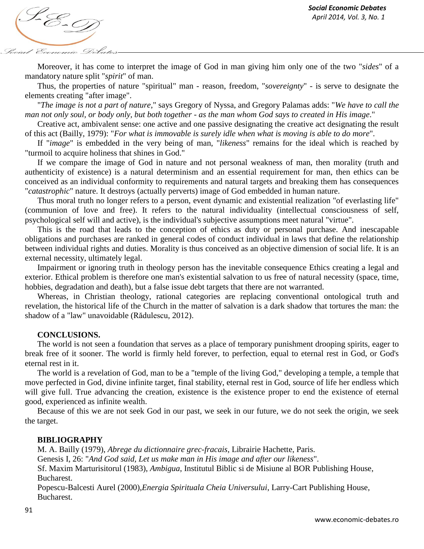*April 2014, Vol. 3, No. 1*<br>*April 2014, Vol. 3, No. 1* Social Economic Debat

Moreover, it has come to interpret the image of God in man giving him only one of the two "*sides*" of a mandatory nature split "*spirit*" of man.

Thus, the properties of nature "spiritual" man - reason, freedom, "*sovereignty*" - is serve to designate the elements creating "after image".

"*The image is not a part of nature*," says Gregory of Nyssa, and Gregory Palamas adds: "*We have to call the man not only soul, or body only, but both together - as the man whom God says to created in His image*."

Creative act, ambivalent sense: one active and one passive designating the creative act designating the result of this act (Bailly, 1979): "*For what is immovable is surely idle when what is moving is able to do more*".

If "*image*" is embedded in the very being of man, "*likeness*" remains for the ideal which is reached by "turmoil to acquire holiness that shines in God."

If we compare the image of God in nature and not personal weakness of man, then morality (truth and authenticity of existence) is a natural determinism and an essential requirement for man, then ethics can be conceived as an individual conformity to requirements and natural targets and breaking them has consequences "*catastrophic*" nature. It destroys (actually perverts) image of God embedded in human nature.

Thus moral truth no longer refers to a person, event dynamic and existential realization "of everlasting life" (communion of love and free). It refers to the natural individuality (intellectual consciousness of self, psychological self will and active), is the individual's subjective assumptions meet natural "virtue".

This is the road that leads to the conception of ethics as duty or personal purchase. And inescapable obligations and purchases are ranked in general codes of conduct individual in laws that define the relationship between individual rights and duties. Morality is thus conceived as an objective dimension of social life. It is an external necessity, ultimately legal.

Impairment or ignoring truth in theology person has the inevitable consequence Ethics creating a legal and exterior. Ethical problem is therefore one man's existential salvation to us free of natural necessity (space, time, hobbies, degradation and death), but a false issue debt targets that there are not warranted.

Whereas, in Christian theology, rational categories are replacing conventional ontological truth and revelation, the historical life of the Church in the matter of salvation is a dark shadow that tortures the man: the shadow of a "law" unavoidable (Rădulescu, 2012).

### **CONCLUSIONS.**

The world is not seen a foundation that serves as a place of temporary punishment drooping spirits, eager to break free of it sooner. The world is firmly held forever, to perfection, equal to eternal rest in God, or God's eternal rest in it.

The world is a revelation of God, man to be a "temple of the living God," developing a temple, a temple that move perfected in God, divine infinite target, final stability, eternal rest in God, source of life her endless which will give full. True advancing the creation, existence is the existence proper to end the existence of eternal good, experienced as infinite wealth.

Because of this we are not seek God in our past, we seek in our future, we do not seek the origin, we seek the target.

# **BIBLIOGRAPHY**

M. A. Bailly (1979), *Abrege du dictionnaire grec-fracais,* Librairie Hachette, Paris.

Genesis I, 26: "*And God said, Let us make man in His image and after our likeness*".

Sf. Maxim Marturisitorul (1983), *Ambigua*, Institutul Biblic si de Misiune al BOR Publishing House, Bucharest.

Popescu-Balcesti Aurel (2000),*Energia Spirituala Cheia Universului*, Larry-Cart Publishing House, Bucharest.